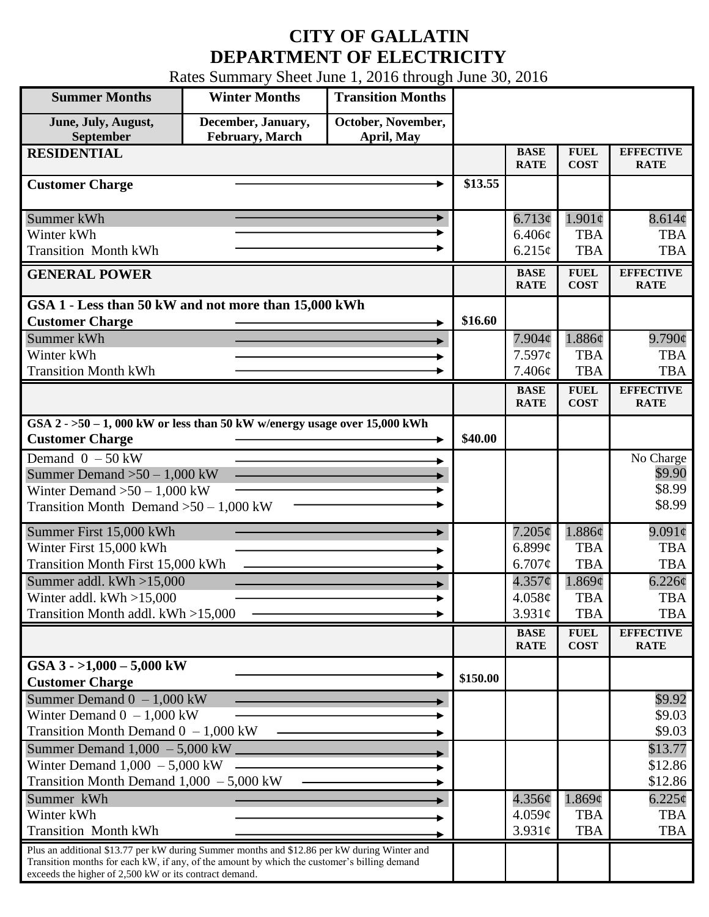## **CITY OF GALLATIN DEPARTMENT OF ELECTRICITY**

Rates Summary Sheet June 1, 2016 through June 30, 2016

| <b>Summer Months</b>                                                                                                                                                                                                                                 | <b>Winter Months</b>                  | <b>Transition Months</b>         |          |                            |                            |                                 |
|------------------------------------------------------------------------------------------------------------------------------------------------------------------------------------------------------------------------------------------------------|---------------------------------------|----------------------------------|----------|----------------------------|----------------------------|---------------------------------|
| June, July, August,<br>September                                                                                                                                                                                                                     | December, January,<br>February, March | October, November,<br>April, May |          |                            |                            |                                 |
| <b>RESIDENTIAL</b>                                                                                                                                                                                                                                   |                                       |                                  |          | <b>BASE</b><br><b>RATE</b> | <b>FUEL</b><br><b>COST</b> | <b>EFFECTIVE</b><br><b>RATE</b> |
| <b>Customer Charge</b>                                                                                                                                                                                                                               |                                       |                                  | \$13.55  |                            |                            |                                 |
| Summer kWh                                                                                                                                                                                                                                           |                                       |                                  |          | 6.713¢                     | $1.901\phi$                | 8.614¢                          |
| Winter kWh                                                                                                                                                                                                                                           |                                       |                                  |          | 6.406¢                     | <b>TBA</b>                 | <b>TBA</b>                      |
| <b>Transition Month kWh</b>                                                                                                                                                                                                                          |                                       |                                  |          | 6.215¢                     | <b>TBA</b>                 | <b>TBA</b>                      |
| <b>GENERAL POWER</b>                                                                                                                                                                                                                                 |                                       |                                  |          | <b>BASE</b><br><b>RATE</b> | <b>FUEL</b><br><b>COST</b> | <b>EFFECTIVE</b><br><b>RATE</b> |
| GSA 1 - Less than 50 kW and not more than 15,000 kWh                                                                                                                                                                                                 |                                       |                                  |          |                            |                            |                                 |
| <b>Customer Charge</b>                                                                                                                                                                                                                               |                                       |                                  | \$16.60  |                            |                            |                                 |
| Summer kWh<br>Winter kWh                                                                                                                                                                                                                             |                                       |                                  |          | $7.904\phi$                | 1.886¢<br><b>TBA</b>       | $9.790\varphi$<br><b>TBA</b>    |
| <b>Transition Month kWh</b>                                                                                                                                                                                                                          |                                       |                                  |          | 7.597c<br>7.406¢           | <b>TBA</b>                 | <b>TBA</b>                      |
|                                                                                                                                                                                                                                                      |                                       |                                  |          | <b>BASE</b>                | <b>FUEL</b>                | <b>EFFECTIVE</b>                |
|                                                                                                                                                                                                                                                      |                                       |                                  |          | <b>RATE</b>                | <b>COST</b>                | <b>RATE</b>                     |
| GSA $2 - 50 - 1$ , 000 kW or less than 50 kW w/energy usage over 15,000 kWh<br><b>Customer Charge</b>                                                                                                                                                |                                       |                                  | \$40.00  |                            |                            |                                 |
| Demand $0 - 50$ kW                                                                                                                                                                                                                                   |                                       |                                  |          |                            |                            | No Charge                       |
| Summer Demand $>50 - 1,000$ kW                                                                                                                                                                                                                       |                                       |                                  |          |                            |                            | \$9.90                          |
| Winter Demand $>50 - 1,000$ kW                                                                                                                                                                                                                       |                                       |                                  |          |                            |                            | \$8.99                          |
| Transition Month Demand $>50-1,000$ kW                                                                                                                                                                                                               |                                       |                                  |          |                            |                            | \$8.99                          |
| Summer First 15,000 kWh                                                                                                                                                                                                                              |                                       |                                  |          | $7.205\phi$                | 1.886¢                     | $9.091\epsilon$                 |
| Winter First 15,000 kWh                                                                                                                                                                                                                              |                                       |                                  |          | 6.899 $\phi$               | <b>TBA</b>                 | <b>TBA</b>                      |
| Transition Month First 15,000 kWh                                                                                                                                                                                                                    |                                       |                                  |          | 6.707¢                     | <b>TBA</b>                 | <b>TBA</b>                      |
| Summer addl. $kWh > 15,000$                                                                                                                                                                                                                          |                                       |                                  |          | $4.357\phi$                | 1.869¢                     | $6.226\phi$                     |
| Winter addl. $kWh > 15,000$                                                                                                                                                                                                                          |                                       |                                  |          | 4.058¢                     | <b>TBA</b>                 | <b>TBA</b>                      |
| Transition Month addl. kWh >15,000                                                                                                                                                                                                                   |                                       |                                  |          | $3.931\mathcal{C}$         | <b>TBA</b>                 | TBA                             |
|                                                                                                                                                                                                                                                      |                                       |                                  |          | <b>BASE</b><br><b>RATE</b> | <b>FUEL</b><br><b>COST</b> | <b>EFFECTIVE</b><br><b>RATE</b> |
| GSA $3 - 1,000 - 5,000$ kW                                                                                                                                                                                                                           |                                       |                                  |          |                            |                            |                                 |
| <b>Customer Charge</b>                                                                                                                                                                                                                               |                                       |                                  | \$150.00 |                            |                            |                                 |
| Summer Demand $0 - 1,000$ kW                                                                                                                                                                                                                         |                                       |                                  |          |                            |                            | \$9.92                          |
| Winter Demand $0 - 1,000$ kW                                                                                                                                                                                                                         |                                       |                                  |          |                            |                            | \$9.03                          |
| Transition Month Demand $0 - 1,000$ kW                                                                                                                                                                                                               |                                       |                                  |          |                            |                            | \$9.03                          |
| Summer Demand $1,000 - 5,000$ kW $\Box$                                                                                                                                                                                                              |                                       |                                  |          |                            |                            | \$13.77                         |
| Winter Demand $1,000 - 5,000$ kW                                                                                                                                                                                                                     |                                       |                                  |          |                            |                            | \$12.86                         |
| Transition Month Demand $1,000 - 5,000$ kW                                                                                                                                                                                                           |                                       |                                  |          |                            |                            | \$12.86                         |
| Summer kWh                                                                                                                                                                                                                                           |                                       |                                  |          | $4.356\phi$                | 1.869¢                     | $6.225\phi$                     |
| Winter kWh                                                                                                                                                                                                                                           |                                       |                                  |          | 4.059¢                     | <b>TBA</b>                 | <b>TBA</b>                      |
| <b>Transition Month kWh</b>                                                                                                                                                                                                                          |                                       |                                  |          | $3.931\phi$                | <b>TBA</b>                 | <b>TBA</b>                      |
| Plus an additional \$13.77 per kW during Summer months and \$12.86 per kW during Winter and<br>Transition months for each kW, if any, of the amount by which the customer's billing demand<br>exceeds the higher of 2,500 kW or its contract demand. |                                       |                                  |          |                            |                            |                                 |
|                                                                                                                                                                                                                                                      |                                       |                                  |          |                            |                            |                                 |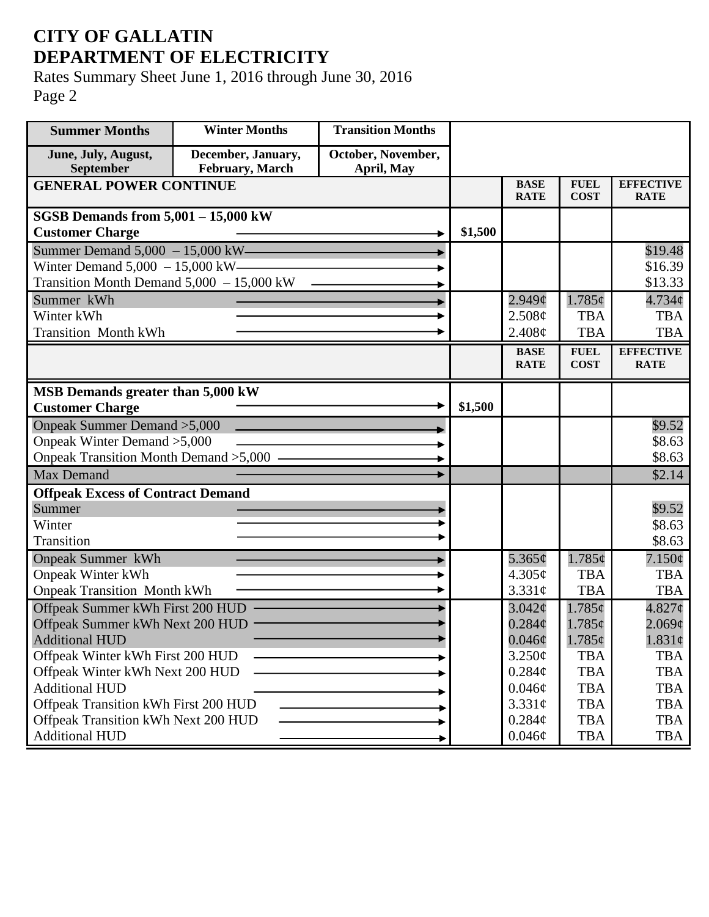## **CITY OF GALLATIN DEPARTMENT OF ELECTRICITY**

Rates Summary Sheet June 1, 2016 through June 30, 2016 Page 2

| <b>Summer Months</b>                       | <b>Winter Months</b>                  | <b>Transition Months</b>         |         |                            |                            |                                 |
|--------------------------------------------|---------------------------------------|----------------------------------|---------|----------------------------|----------------------------|---------------------------------|
| June, July, August,<br>September           | December, January,<br>February, March | October, November,<br>April, May |         |                            |                            |                                 |
| <b>GENERAL POWER CONTINUE</b>              |                                       |                                  |         | <b>BASE</b><br><b>RATE</b> | <b>FUEL</b><br><b>COST</b> | <b>EFFECTIVE</b><br><b>RATE</b> |
| <b>SGSB Demands from 5,001 - 15,000 kW</b> |                                       |                                  |         |                            |                            |                                 |
| <b>Customer Charge</b>                     |                                       |                                  | \$1,500 |                            |                            |                                 |
| Summer Demand $5,000 - 15,000$ kW-         |                                       |                                  |         |                            |                            | \$19.48                         |
| Winter Demand $5,000 - 15,000$ kW-         |                                       |                                  |         |                            |                            | \$16.39                         |
| Transition Month Demand 5,000 - 15,000 kW  |                                       |                                  |         |                            |                            | \$13.33                         |
| Summer kWh                                 |                                       |                                  |         | $2.949\mathcal{C}$         | 1.785¢                     | $4.734\phi$                     |
| Winter kWh                                 |                                       |                                  |         | 2.508¢                     | <b>TBA</b>                 | <b>TBA</b>                      |
| <b>Transition Month kWh</b>                |                                       |                                  |         | 2.408¢                     | <b>TBA</b>                 | <b>TBA</b>                      |
|                                            |                                       |                                  |         | <b>BASE</b>                | <b>FUEL</b>                | <b>EFFECTIVE</b>                |
|                                            |                                       |                                  |         | <b>RATE</b>                | <b>COST</b>                | <b>RATE</b>                     |
| MSB Demands greater than 5,000 kW          |                                       |                                  |         |                            |                            |                                 |
| <b>Customer Charge</b>                     |                                       |                                  | \$1,500 |                            |                            |                                 |
| Onpeak Summer Demand > 5,000               |                                       |                                  |         |                            |                            | \$9.52                          |
| Onpeak Winter Demand > 5,000               |                                       |                                  |         |                            |                            | \$8.63                          |
| Onpeak Transition Month Demand > 5,000 -   |                                       |                                  |         |                            |                            | \$8.63                          |
| <b>Max Demand</b>                          |                                       |                                  |         |                            |                            | \$2.14                          |
| <b>Offpeak Excess of Contract Demand</b>   |                                       |                                  |         |                            |                            |                                 |
| Summer                                     |                                       |                                  |         |                            |                            | \$9.52                          |
| Winter                                     |                                       |                                  |         |                            |                            | \$8.63                          |
| Transition                                 |                                       |                                  |         |                            |                            | \$8.63                          |
| <b>Onpeak Summer kWh</b>                   |                                       |                                  |         | 5.365¢                     | $1.785\phi$                | $7.150\phi$                     |
| <b>Onpeak Winter kWh</b>                   |                                       |                                  |         | 4.305¢                     | <b>TBA</b>                 | <b>TBA</b>                      |
| <b>Onpeak Transition Month kWh</b>         |                                       |                                  |         | 3.331c                     | <b>TBA</b>                 | <b>TBA</b>                      |
| Offpeak Summer kWh First 200 HUD           |                                       |                                  |         | $3.042\mathcal{C}$         | 1.785¢                     | $4.827$ ¢                       |
| Offpeak Summer kWh Next 200 HUD            |                                       |                                  |         | $0.284\mathcal{C}$         | $1.785\phi$                | $2.069\phi$                     |
| <b>Additional HUD</b>                      |                                       |                                  |         | $0.046\phi$                | $1.785\phi$                | $1.831\phi$                     |
| Offpeak Winter kWh First 200 HUD           |                                       |                                  |         | 3.250¢                     | <b>TBA</b>                 | <b>TBA</b>                      |
| Offpeak Winter kWh Next 200 HUD            |                                       |                                  |         | $0.284\phi$                | <b>TBA</b>                 | <b>TBA</b>                      |
| <b>Additional HUD</b>                      |                                       |                                  |         | $0.046\phi$                | <b>TBA</b>                 | <b>TBA</b>                      |
| Offpeak Transition kWh First 200 HUD       |                                       |                                  |         | 3.331¢                     | <b>TBA</b>                 | <b>TBA</b>                      |
| Offpeak Transition kWh Next 200 HUD        |                                       |                                  |         | $0.284\mathcal{C}$         | <b>TBA</b>                 | <b>TBA</b>                      |
| <b>Additional HUD</b>                      |                                       |                                  |         | $0.046\phi$                | <b>TBA</b>                 | TBA                             |